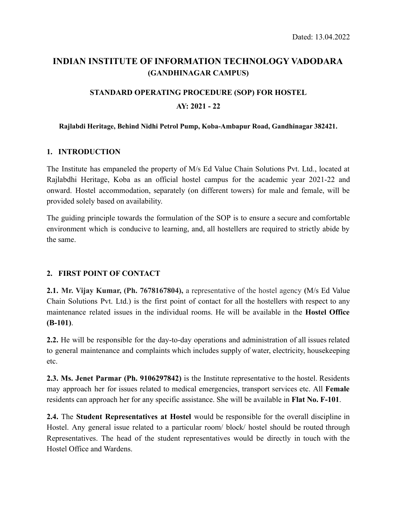## **INDIAN INSTITUTE OF INFORMATION TECHNOLOGY VADODARA (GANDHINAGAR CAMPUS)**

# **STANDARD OPERATING PROCEDURE (SOP) FOR HOSTEL AY: 2021 - 22**

#### **Rajlabdi Heritage, Behind Nidhi Petrol Pump, Koba-Ambapur Road, Gandhinagar 382421.**

### **1. INTRODUCTION**

The Institute has empaneled the property of M/s Ed Value Chain Solutions Pvt. Ltd., located at Rajlabdhi Heritage, Koba as an official hostel campus for the academic year 2021-22 and onward. Hostel accommodation, separately (on different towers) for male and female, will be provided solely based on availability.

The guiding principle towards the formulation of the SOP is to ensure a secure and comfortable environment which is conducive to learning, and, all hostellers are required to strictly abide by the same.

### **2. FIRST POINT OF CONTACT**

**2.1. Mr. Vijay Kumar, (Ph. 7678167804),** a representative of the hostel agency **(**M/s Ed Value Chain Solutions Pvt. Ltd.) is the first point of contact for all the hostellers with respect to any maintenance related issues in the individual rooms. He will be available in the **Hostel Office (B-101)**.

**2.2.** He will be responsible for the day-to-day operations and administration of all issues related to general maintenance and complaints which includes supply of water, electricity, housekeeping etc.

**2.3. Ms. Jenet Parmar (Ph. 9106297842)** is the Institute representative to the hostel. Residents may approach her for issues related to medical emergencies, transport services etc. All **Female** residents can approach her for any specific assistance. She will be available in **Flat No. F-101**.

**2.4.** The **Student Representatives at Hostel** would be responsible for the overall discipline in Hostel. Any general issue related to a particular room/ block/ hostel should be routed through Representatives. The head of the student representatives would be directly in touch with the Hostel Office and Wardens.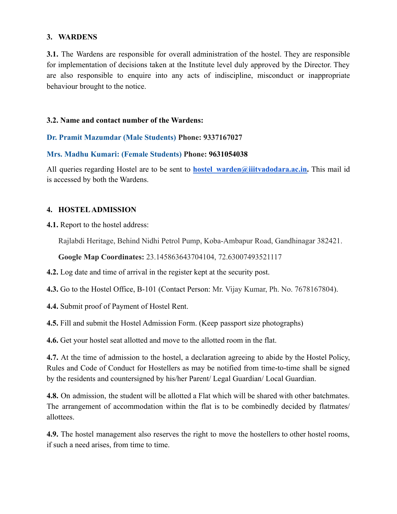#### **3. WARDENS**

**3.1.** The Wardens are responsible for overall administration of the hostel. They are responsible for implementation of decisions taken at the Institute level duly approved by the Director. They are also responsible to enquire into any acts of indiscipline, misconduct or inappropriate behaviour brought to the notice.

#### **3.2. Name and contact number of the Wardens:**

#### **Dr. Pramit Mazumdar (Male Students) Phone: 9337167027**

#### **Mrs. Madhu Kumari: (Female Students) Phone: 9631054038**

All queries regarding Hostel are to be sent to **hostel warden@iiitvadodara.ac.in.** This mail id is accessed by both the Wardens.

#### **4. HOSTEL ADMISSION**

**4.1.** Report to the hostel address:

Rajlabdi Heritage, Behind Nidhi Petrol Pump, Koba-Ambapur Road, Gandhinagar 382421.

**Google Map Coordinates:** 23.145863643704104, 72.63007493521117

**4.2.** Log date and time of arrival in the register kept at the security post.

**4.3.** Go to the Hostel Office, B-101 (Contact Person: Mr. Vijay Kumar, Ph. No. 7678167804).

**4.4.** Submit proof of Payment of Hostel Rent.

**4.5.** Fill and submit the Hostel Admission Form. (Keep passport size photographs)

**4.6.** Get your hostel seat allotted and move to the allotted room in the flat.

**4.7.** At the time of admission to the hostel, a declaration agreeing to abide by the Hostel Policy, Rules and Code of Conduct for Hostellers as may be notified from time-to-time shall be signed by the residents and countersigned by his/her Parent/ Legal Guardian/ Local Guardian.

**4.8.** On admission, the student will be allotted a Flat which will be shared with other batchmates. The arrangement of accommodation within the flat is to be combinedly decided by flatmates/ allottees.

**4.9.** The hostel management also reserves the right to move the hostellers to other hostel rooms, if such a need arises, from time to time.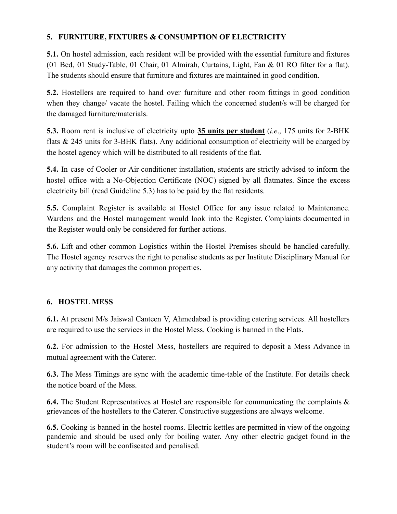### **5. FURNITURE, FIXTURES & CONSUMPTION OF ELECTRICITY**

**5.1.** On hostel admission, each resident will be provided with the essential furniture and fixtures (01 Bed, 01 Study-Table, 01 Chair, 01 Almirah, Curtains, Light, Fan & 01 RO filter for a flat). The students should ensure that furniture and fixtures are maintained in good condition.

**5.2.** Hostellers are required to hand over furniture and other room fittings in good condition when they change/ vacate the hostel. Failing which the concerned student/s will be charged for the damaged furniture/materials.

**5.3.** Room rent is inclusive of electricity upto **35 units per student** (*i.e*., 175 units for 2-BHK flats & 245 units for 3-BHK flats). Any additional consumption of electricity will be charged by the hostel agency which will be distributed to all residents of the flat.

**5.4.** In case of Cooler or Air conditioner installation, students are strictly advised to inform the hostel office with a No-Objection Certificate (NOC) signed by all flatmates. Since the excess electricity bill (read Guideline 5.3) has to be paid by the flat residents.

**5.5.** Complaint Register is available at Hostel Office for any issue related to Maintenance. Wardens and the Hostel management would look into the Register. Complaints documented in the Register would only be considered for further actions.

**5.6.** Lift and other common Logistics within the Hostel Premises should be handled carefully. The Hostel agency reserves the right to penalise students as per Institute Disciplinary Manual for any activity that damages the common properties.

### **6. HOSTEL MESS**

**6.1.** At present M/s Jaiswal Canteen V, Ahmedabad is providing catering services. All hostellers are required to use the services in the Hostel Mess. Cooking is banned in the Flats.

**6.2.** For admission to the Hostel Mess, hostellers are required to deposit a Mess Advance in mutual agreement with the Caterer.

**6.3.** The Mess Timings are sync with the academic time-table of the Institute. For details check the notice board of the Mess.

**6.4.** The Student Representatives at Hostel are responsible for communicating the complaints & grievances of the hostellers to the Caterer. Constructive suggestions are always welcome.

**6.5.** Cooking is banned in the hostel rooms. Electric kettles are permitted in view of the ongoing pandemic and should be used only for boiling water. Any other electric gadget found in the student's room will be confiscated and penalised.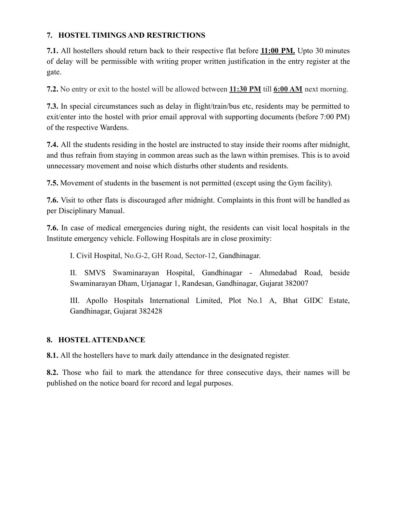### **7. HOSTEL TIMINGS AND RESTRICTIONS**

**7.1.** All hostellers should return back to their respective flat before **11:00 PM.** Upto 30 minutes of delay will be permissible with writing proper written justification in the entry register at the gate.

**7.2.** No entry or exit to the hostel will be allowed between **11:30 PM** till **6:00 AM** next morning.

**7.3.** In special circumstances such as delay in flight/train/bus etc, residents may be permitted to exit/enter into the hostel with prior email approval with supporting documents (before 7:00 PM) of the respective Wardens.

**7.4.** All the students residing in the hostel are instructed to stay inside their rooms after midnight, and thus refrain from staying in common areas such as the lawn within premises. This is to avoid unnecessary movement and noise which disturbs other students and residents.

**7.5.** Movement of students in the basement is not permitted (except using the Gym facility).

**7.6.** Visit to other flats is discouraged after midnight. Complaints in this front will be handled as per Disciplinary Manual.

**7.6.** In case of medical emergencies during night, the residents can visit local hospitals in the Institute emergency vehicle. Following Hospitals are in close proximity:

I. Civil Hospital, No.G-2, GH Road, Sector-12, Gandhinagar.

II. SMVS Swaminarayan Hospital, Gandhinagar - Ahmedabad Road, beside Swaminarayan Dham, Urjanagar 1, Randesan, Gandhinagar, Gujarat 382007

III. Apollo Hospitals International Limited, Plot No.1 A, Bhat GIDC Estate, Gandhinagar, Gujarat 382428

### **8. HOSTEL ATTENDANCE**

**8.1.** All the hostellers have to mark daily attendance in the designated register.

**8.2.** Those who fail to mark the attendance for three consecutive days, their names will be published on the notice board for record and legal purposes.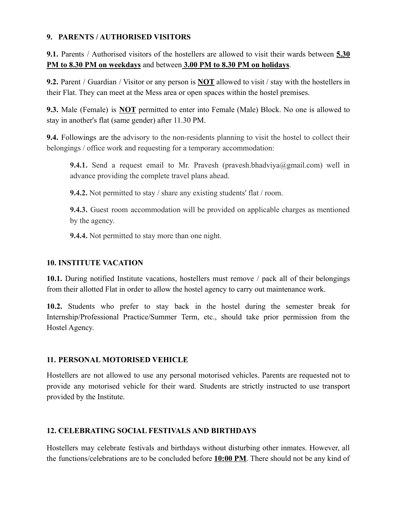#### **9. PARENTS / AUTHORISED VISITORS**

**9.1.** Parents / Authorised visitors of the hostellers are allowed to visit their wards between **5.30 PM to 8.30 PM on weekdays** and between **3.00 PM to 8.30 PM on holidays**.

**9.2.** Parent / Guardian / Visitor or any person is **NOT** allowed to visit / stay with the hostellers in their Flat. They can meet at the Mess area or open spaces within the hostel premises.

**9.3.** Male (Female) is **NOT** permitted to enter into Female (Male) Block. No one is allowed to stay in another's flat (same gender) after 11.30 PM.

**9.4.** Followings are the advisory to the non-residents planning to visit the hostel to collect their belongings / office work and requesting for a temporary accommodation:

**9.4.1.** Send a request email to Mr. Pravesh (pravesh.bhadviva@gmail.com) well in advance providing the complete travel plans ahead.

**9.4.2.** Not permitted to stay / share any existing students' flat / room.

**9.4.3.** Guest room accommodation will be provided on applicable charges as mentioned by the agency.

**9.4.4.** Not permitted to stay more than one night.

### **10. INSTITUTE VACATION**

**10.1.** During notified Institute vacations, hostellers must remove / pack all of their belongings from their allotted Flat in order to allow the hostel agency to carry out maintenance work.

**10.2.** Students who prefer to stay back in the hostel during the semester break for Internship/Professional Practice/Summer Term, etc., should take prior permission from the Hostel Agency.

### **11. PERSONAL MOTORISED VEHICLE**

Hostellers are not allowed to use any personal motorised vehicles. Parents are requested not to provide any motorised vehicle for their ward. Students are strictly instructed to use transport provided by the Institute.

### **12. CELEBRATING SOCIAL FESTIVALS AND BIRTHDAYS**

Hostellers may celebrate festivals and birthdays without disturbing other inmates. However, all the functions/celebrations are to be concluded before **10:00 PM**. There should not be any kind of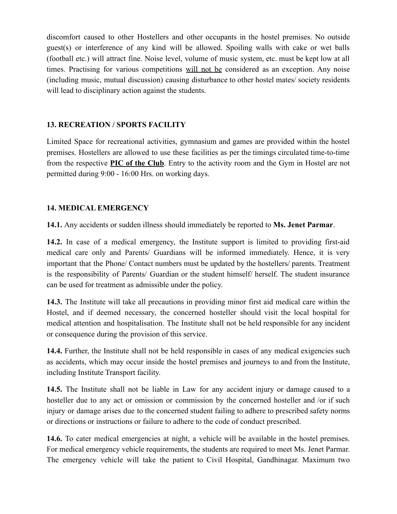discomfort caused to other Hostellers and other occupants in the hostel premises. No outside guest(s) or interference of any kind will be allowed. Spoiling walls with cake or wet balls (football etc.) will attract fine. Noise level, volume of music system, etc. must be kept low at all times. Practising for various competitions will not be considered as an exception. Any noise (including music, mutual discussion) causing disturbance to other hostel mates/ society residents will lead to disciplinary action against the students.

### **13. RECREATION / SPORTS FACILITY**

Limited Space for recreational activities, gymnasium and games are provided within the hostel premises. Hostellers are allowed to use these facilities as per the timings circulated time-to-time from the respective **PIC of the Club**. Entry to the activity room and the Gym in Hostel are not permitted during 9:00 - 16:00 Hrs. on working days.

### **14. MEDICAL EMERGENCY**

**14.1.** Any accidents or sudden illness should immediately be reported to **Ms. Jenet Parmar**.

**14.2.** In case of a medical emergency, the Institute support is limited to providing first-aid medical care only and Parents/ Guardians will be informed immediately. Hence, it is very important that the Phone/ Contact numbers must be updated by the hostellers/ parents. Treatment is the responsibility of Parents/ Guardian or the student himself/ herself. The student insurance can be used for treatment as admissible under the policy.

**14.3.** The Institute will take all precautions in providing minor first aid medical care within the Hostel, and if deemed necessary, the concerned hosteller should visit the local hospital for medical attention and hospitalisation. The Institute shall not be held responsible for any incident or consequence during the provision of this service.

**14.4.** Further, the Institute shall not be held responsible in cases of any medical exigencies such as accidents, which may occur inside the hostel premises and journeys to and from the Institute, including Institute Transport facility.

**14.5.** The Institute shall not be liable in Law for any accident injury or damage caused to a hosteller due to any act or omission or commission by the concerned hosteller and /or if such injury or damage arises due to the concerned student failing to adhere to prescribed safety norms or directions or instructions or failure to adhere to the code of conduct prescribed.

**14.6.** To cater medical emergencies at night, a vehicle will be available in the hostel premises. For medical emergency vehicle requirements, the students are required to meet Ms. Jenet Parmar. The emergency vehicle will take the patient to Civil Hospital, Gandhinagar. Maximum two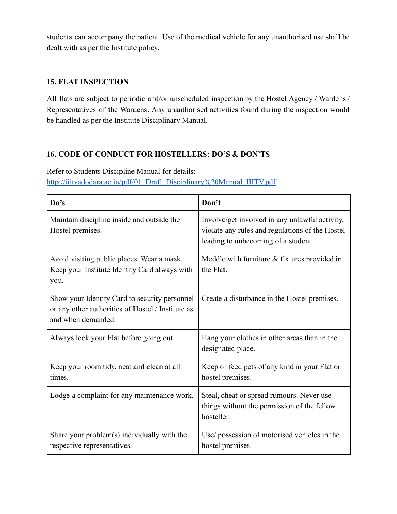students can accompany the patient. Use of the medical vehicle for any unauthorised use shall be dealt with as per the Institute policy.

### **15. FLAT INSPECTION**

All flats are subject to periodic and/or unscheduled inspection by the Hostel Agency / Wardens / Representatives of the Wardens. Any unauthorised activities found during the inspection would be handled as per the Institute Disciplinary Manual.

### **16. CODE OF CONDUCT FOR HOSTELLERS: DO'S & DON'TS**

Refer to Students Discipline Manual for details: [http://iiitvadodara.ac.in/pdf/01\\_Draft\\_Disciplinary%20Manual\\_IIITV.pdf](http://iiitvadodara.ac.in/pdf/01_Draft_Disciplinary%20Manual_IIITV.pdf)

| Do's                                                                                                                     | Don't                                                                                                                                    |
|--------------------------------------------------------------------------------------------------------------------------|------------------------------------------------------------------------------------------------------------------------------------------|
| Maintain discipline inside and outside the<br>Hostel premises.                                                           | Involve/get involved in any unlawful activity,<br>violate any rules and regulations of the Hostel<br>leading to unbecoming of a student. |
| Avoid visiting public places. Wear a mask.<br>Keep your Institute Identity Card always with<br>you.                      | Meddle with furniture $&$ fixtures provided in<br>the Flat.                                                                              |
| Show your Identity Card to security personnel<br>or any other authorities of Hostel / Institute as<br>and when demanded. | Create a disturbance in the Hostel premises.                                                                                             |
| Always lock your Flat before going out.                                                                                  | Hang your clothes in other areas than in the<br>designated place.                                                                        |
| Keep your room tidy, neat and clean at all<br>times.                                                                     | Keep or feed pets of any kind in your Flat or<br>hostel premises.                                                                        |
| Lodge a complaint for any maintenance work.                                                                              | Steal, cheat or spread rumours. Never use<br>things without the permission of the fellow<br>hosteller.                                   |
| Share your problem(s) individually with the<br>respective representatives.                                               | Use/ possession of motorised vehicles in the<br>hostel premises.                                                                         |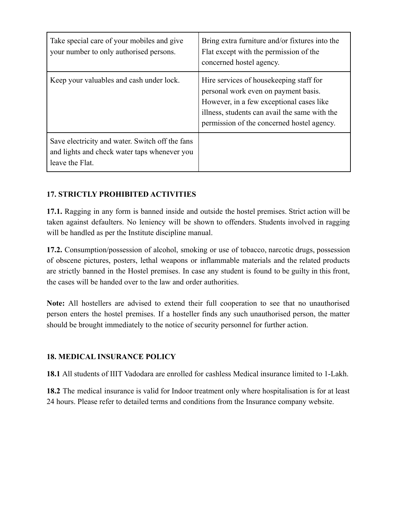| Take special care of your mobiles and give<br>your number to only authorised persons.                              | Bring extra furniture and/or fixtures into the<br>Flat except with the permission of the<br>concerned hostel agency.                                                                                                        |
|--------------------------------------------------------------------------------------------------------------------|-----------------------------------------------------------------------------------------------------------------------------------------------------------------------------------------------------------------------------|
| Keep your valuables and cash under lock.                                                                           | Hire services of house keeping staff for<br>personal work even on payment basis.<br>However, in a few exceptional cases like<br>illness, students can avail the same with the<br>permission of the concerned hostel agency. |
| Save electricity and water. Switch off the fans<br>and lights and check water taps whenever you<br>leave the Flat. |                                                                                                                                                                                                                             |

### **17. STRICTLY PROHIBITED ACTIVITIES**

**17.1.** Ragging in any form is banned inside and outside the hostel premises. Strict action will be taken against defaulters. No leniency will be shown to offenders. Students involved in ragging will be handled as per the Institute discipline manual.

**17.2.** Consumption/possession of alcohol, smoking or use of tobacco, narcotic drugs, possession of obscene pictures, posters, lethal weapons or inflammable materials and the related products are strictly banned in the Hostel premises. In case any student is found to be guilty in this front, the cases will be handed over to the law and order authorities.

**Note:** All hostellers are advised to extend their full cooperation to see that no unauthorised person enters the hostel premises. If a hosteller finds any such unauthorised person, the matter should be brought immediately to the notice of security personnel for further action.

### **18. MEDICAL INSURANCE POLICY**

**18.1** All students of IIIT Vadodara are enrolled for cashless Medical insurance limited to 1-Lakh.

**18.2** The medical insurance is valid for Indoor treatment only where hospitalisation is for at least 24 hours. Please refer to detailed terms and conditions from the Insurance company website.